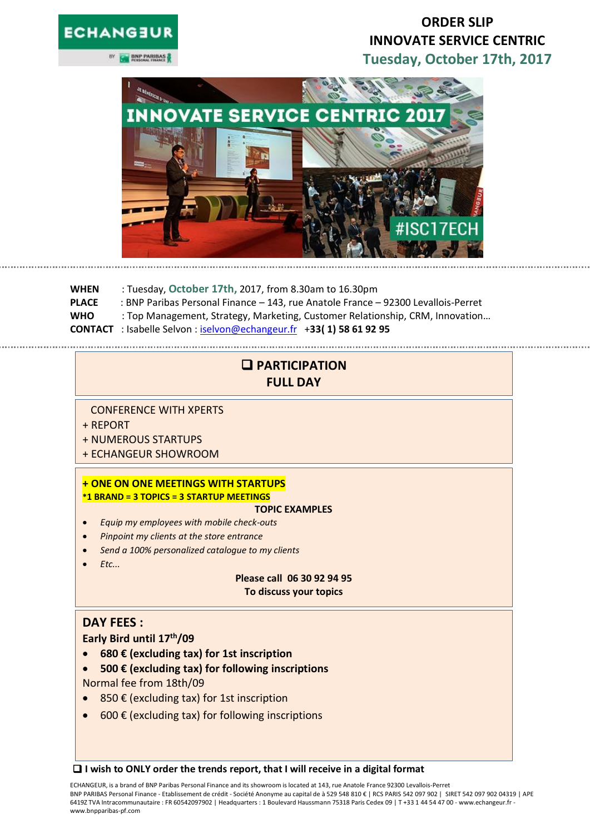# **ECHANGEU**

**SOM BNP PARIBAS** 

# **ORDER SLIP INNOVATE SERVICE CENTRIC Tuesday, October 17th, 2017**



**WHEN** : Tuesday, **October 17th,** 2017, from 8.30am to 16.30pm **PLACE** : BNP Paribas Personal Finance – 143, rue Anatole France – 92300 Levallois-Perret **WHO** : Top Management, Strategy, Marketing, Customer Relationship, CRM, Innovation… **CONTACT** : Isabelle Selvon : [iselvon@echangeur.fr](mailto:iselvon@echangeur.fr) +**33( 1) 58 61 92 95**

# **PARTICIPATION FULL DAY**

CONFERENCE WITH XPERTS

- + REPORT
- + NUMEROUS STARTUPS
- + ECHANGEUR SHOWROOM

## **+ ONE ON ONE MEETINGS WITH STARTUPS \*1 BRAND = 3 TOPICS = 3 STARTUP MEETINGS**

#### **TOPIC EXAMPLES**

- *Equip my employees with mobile check-outs*
- *Pinpoint my clients at the store entrance*
- *Send a 100% personalized catalogue to my clients*
- *Etc...*

#### **Please call 06 30 92 94 95 To discuss your topics**

## **DAY FEES :**

**Early Bird until 17th/09**

- **680 € (excluding tax) for 1st inscription**
- **500 € (excluding tax) for following inscriptions**  Normal fee from 18th/09
- 850 € (excluding tax) for 1st inscription
- 600 $\epsilon$  (excluding tax) for following inscriptions

**I wish to ONLY order the trends report, that I will receive in a digital format**

ECHANGEUR, is a brand of BNP Paribas Personal Finance and its showroom is located at 143, rue Anatole France 92300 Levallois-Perret BNP PARIBAS Personal Finance - Etablissement de crédit - Société Anonyme au capital de à 529 548 810 € | RCS PARIS 542 097 902 | SIRET 542 097 902 04319 | APE 6419Z TVA Intracommunautaire : FR 60542097902 | Headquarters : 1 Boulevard Haussmann 75318 Paris Cedex 09 | T +33 1 44 54 47 00 - www.echangeur.fr www.bnpparibas-pf.com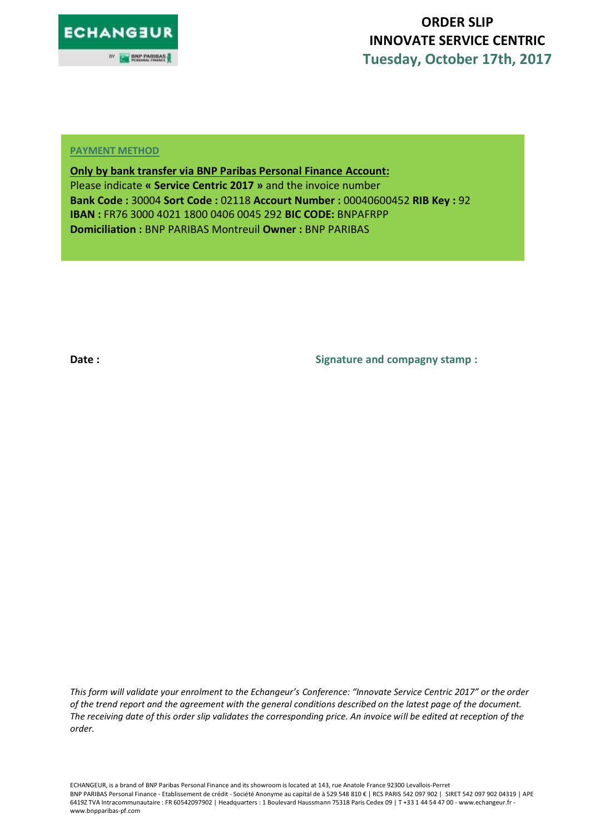

# **ORDER SLIP INNOVATE SERVICE CENTRIC Tuesday, October 17th, 2017**

#### **PAYMENT METHOD**

**Only by bank transfer via BNP Paribas Personal Finance Account:**  Please indicate **« Service Centric 2017 »** and the invoice number **Bank Code :** 30004 **Sort Code :** 02118 **Accourt Number :** 00040600452 **RIB Key :** 92 **IBAN :** FR76 3000 4021 1800 0406 0045 292 **BIC CODE:** BNPAFRPP **Domiciliation :** BNP PARIBAS Montreuil **Owner :** BNP PARIBAS

**Date : Signature and compagny stamp :** 

*This form will validate your enrolment to the Echangeur's Conference: "Innovate Service Centric 2017" or the order of the trend report and the agreement with the general conditions described on the latest page of the document. The receiving date of this order slip validates the corresponding price. An invoice will be edited at reception of the order.* 

ECHANGEUR, is a brand of BNP Paribas Personal Finance and its showroom is located at 143, rue Anatole France 92300 Levallois-Perret BNP PARIBAS Personal Finance - Etablissement de crédit - Société Anonyme au capital de à 529 548 810 € | RCS PARIS 542 097 902 | SIRET 542 097 902 04319 | APE 6419Z TVA Intracommunautaire : FR 60542097902 | Headquarters : 1 Boulevard Haussmann 75318 Paris Cedex 09 | T +33 1 44 54 47 00 - www.echangeur.fr www.bnpparibas-pf.com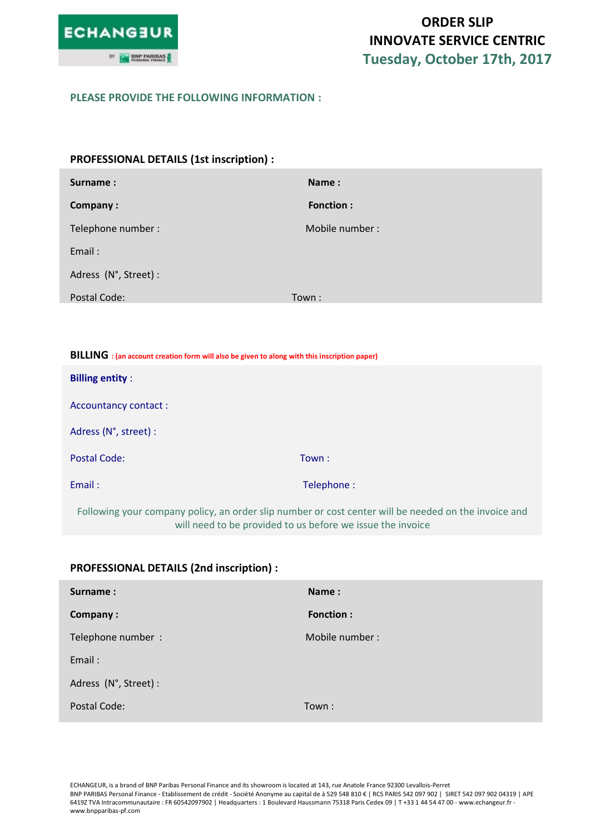

#### **PLEASE PROVIDE THE FOLLOWING INFORMATION :**

| PROFESSIONAL DETAILS (1st inscription) : |                  |  |
|------------------------------------------|------------------|--|
| <b>Surname:</b>                          | Name:            |  |
| Company:                                 | <b>Fonction:</b> |  |
| Telephone number:                        | Mobile number:   |  |
| Email:                                   |                  |  |
| Adress (N°, Street) :                    |                  |  |
| Postal Code:                             | Town:            |  |

| BILLING : (an account creation form will also be given to along with this inscription paper) |            |
|----------------------------------------------------------------------------------------------|------------|
| <b>Billing entity:</b>                                                                       |            |
| Accountancy contact:                                                                         |            |
| Adress (N°, street) :                                                                        |            |
| <b>Postal Code:</b>                                                                          | Town:      |
| Email:                                                                                       | Telephone: |
| ______                                                                                       |            |

Following your company policy, an order slip number or cost center will be needed on the invoice and will need to be provided to us before we issue the invoice

| Surname:              | Name:            |
|-----------------------|------------------|
| Company:              | <b>Fonction:</b> |
| Telephone number :    | Mobile number:   |
| Email:                |                  |
| Adress (N°, Street) : |                  |
| Postal Code:          | Town:            |

## **PROFESSIONAL DETAILS (2nd inscription) :**

ECHANGEUR, is a brand of BNP Paribas Personal Finance and its showroom is located at 143, rue Anatole France 92300 Levallois-Perret BNP PARIBAS Personal Finance - Etablissement de crédit - Société Anonyme au capital de à 529 548 810 € | RCS PARIS 542 097 902 | SIRET 542 097 902 04319 | APE 6419Z TVA Intracommunautaire : FR 60542097902 | Headquarters : 1 Boulevard Haussmann 75318 Paris Cedex 09 | T +33 1 44 54 47 00 - www.echangeur.fr www.bnpparibas-pf.com